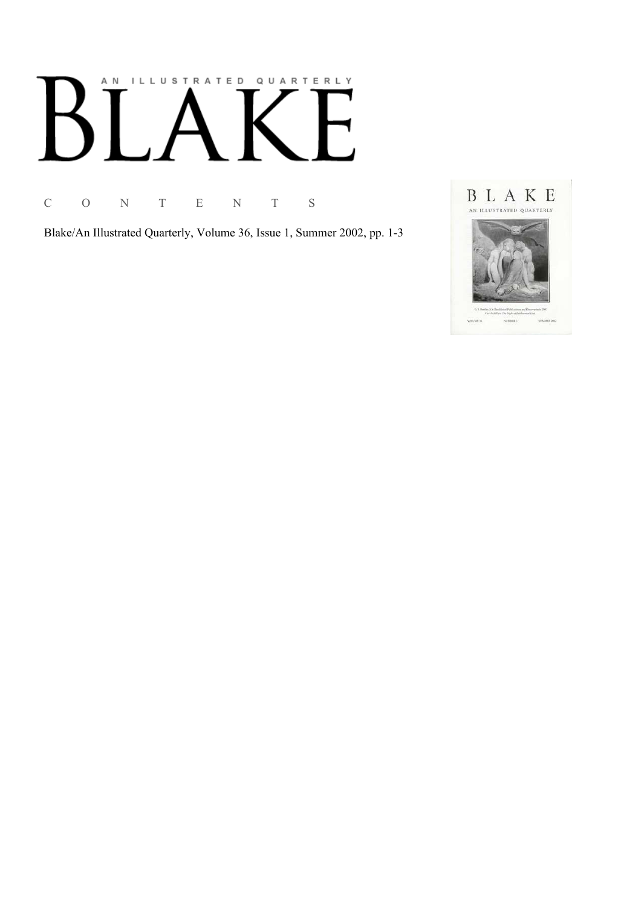# AN ILLUSTRATED QUARTERLY

C O N T E N T S

Blake/An Illustrated Quarterly, Volume 36, Issue 1, Summer 2002, pp. 1-3

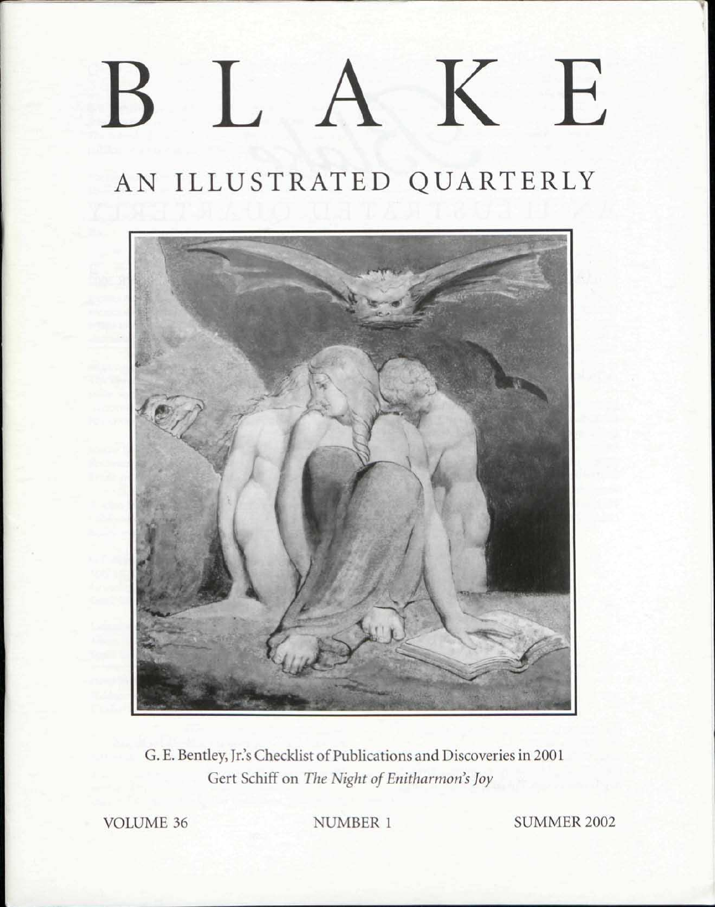## BLAKE

## AN ILLUSTRATED QUARTERLY



G. E. Bentley, Jr.'s Checklist of Publications and Discoveries in 2001 Gert Schiff on *The Night of Enitharmon's Joy* 

VOLUME 36 NUMBER 1 SUMMER 2002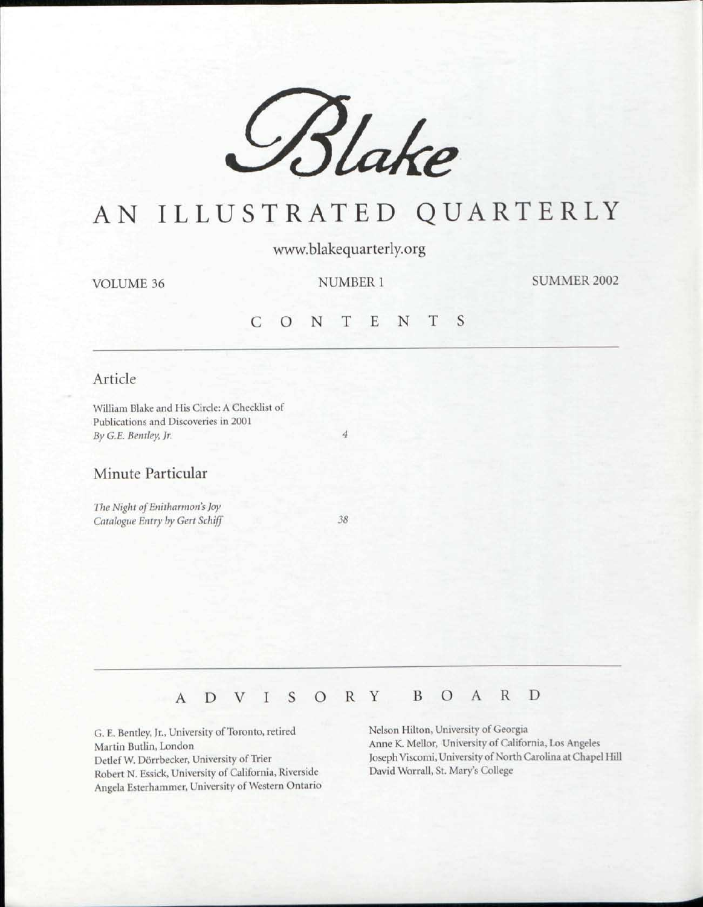

### AN ILLUSTRATED QUARTERLY

www.blakequarterly.org

VOLUME 36

NUMBER 1

SUMMER 2002

#### CONTENT S

#### Article

William Blake and His Circle: A Checklist of Publications and Discoveries in 2001 *By G.E. Bentley, Jr. 4* 

#### Minute Particular

**The Night of Enitharmon's Joy** *Catalogue Entry by Gert Schiff 38* 

#### ADVISOR Y BOAR D

G. E. Bentley, Jr., University of Toronto, retired Martin Butlin, London Detlef W. Dorrbecker, University of Trier Robert N. Essick, University of California, Riverside Angela Esterhammer, University of Western Ontario Nelson Hilton, University of Georgia Anne K. Mellor, University of California, Los Angeles Joseph Viscomi, University of North Carolina at Chapel Hill David Worrall, St. Mary's College